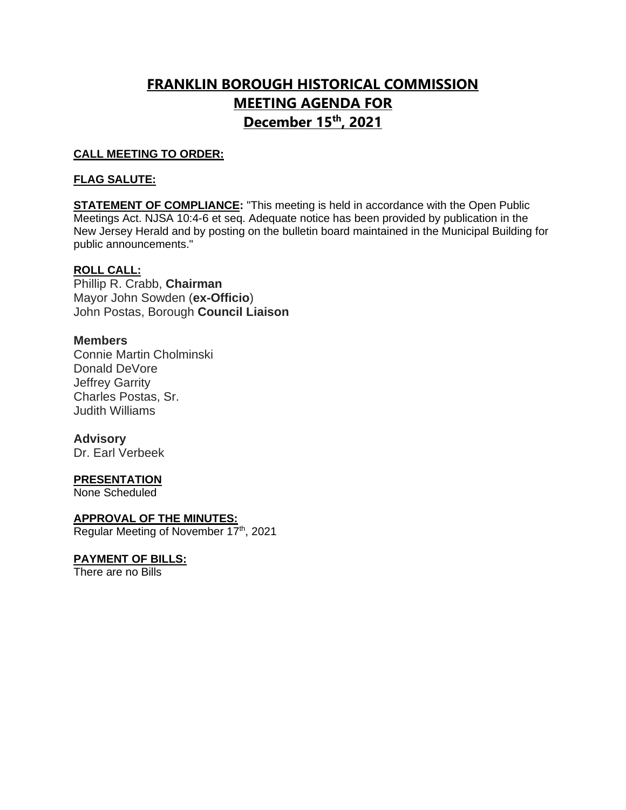## **FRANKLIN BOROUGH HISTORICAL COMMISSION MEETING AGENDA FOR December 15th, 2021**

## **CALL MEETING TO ORDER:**

## **FLAG SALUTE:**

**STATEMENT OF COMPLIANCE:** "This meeting is held in accordance with the Open Public Meetings Act. NJSA 10:4-6 et seq. Adequate notice has been provided by publication in the New Jersey Herald and by posting on the bulletin board maintained in the Municipal Building for public announcements."

## **ROLL CALL:**

Phillip R. Crabb, **Chairman** Mayor John Sowden (**ex-Officio**) John Postas, Borough **Council Liaison**

### **Members**

Connie Martin Cholminski Donald DeVore Jeffrey Garrity Charles Postas, Sr. Judith Williams

### **Advisory**

Dr. Earl Verbeek

### **PRESENTATION**

None Scheduled

### **APPROVAL OF THE MINUTES:**

Regular Meeting of November 17<sup>th</sup>, 2021

## **PAYMENT OF BILLS:**

There are no Bills